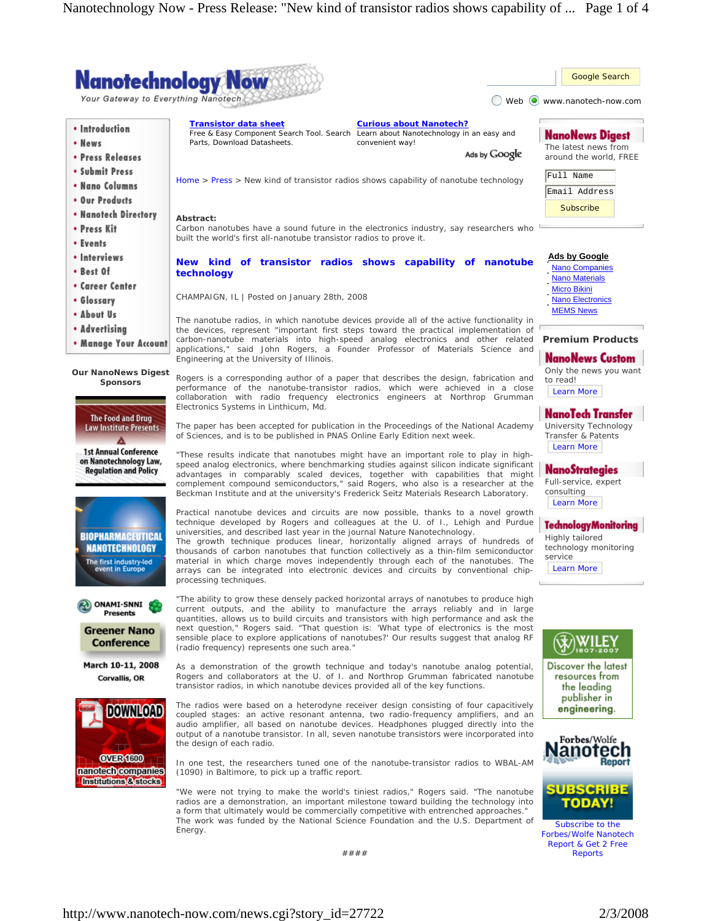

####